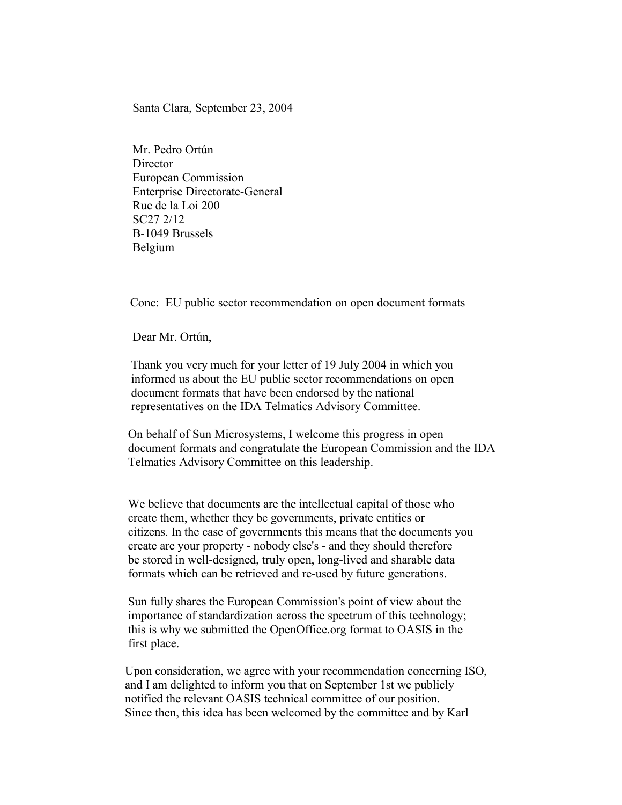Santa Clara, September 23, 2004

Mr. Pedro Ortún **Director** European Commission Enterprise Directorate-General Rue de la Loi 200 SC27 2/12 B-1049 Brussels Belgium

Conc: EU public sector recommendation on open document formats

Dear Mr. Ortún,

 Thank you very much for your letter of 19 July 2004 in which you informed us about the EU public sector recommendations on open document formats that have been endorsed by the national representatives on the IDA Telmatics Advisory Committee.

 On behalf of Sun Microsystems, I welcome this progress in open document formats and congratulate the European Commission and the IDA Telmatics Advisory Committee on this leadership.

 We believe that documents are the intellectual capital of those who create them, whether they be governments, private entities or citizens. In the case of governments this means that the documents you create are your property - nobody else's - and they should therefore be stored in well-designed, truly open, long-lived and sharable data formats which can be retrieved and re-used by future generations.

 Sun fully shares the European Commission's point of view about the importance of standardization across the spectrum of this technology; this is why we submitted the OpenOffice.org format to OASIS in the first place.

 Upon consideration, we agree with your recommendation concerning ISO, and I am delighted to inform you that on September 1st we publicly notified the relevant OASIS technical committee of our position. Since then, this idea has been welcomed by the committee and by Karl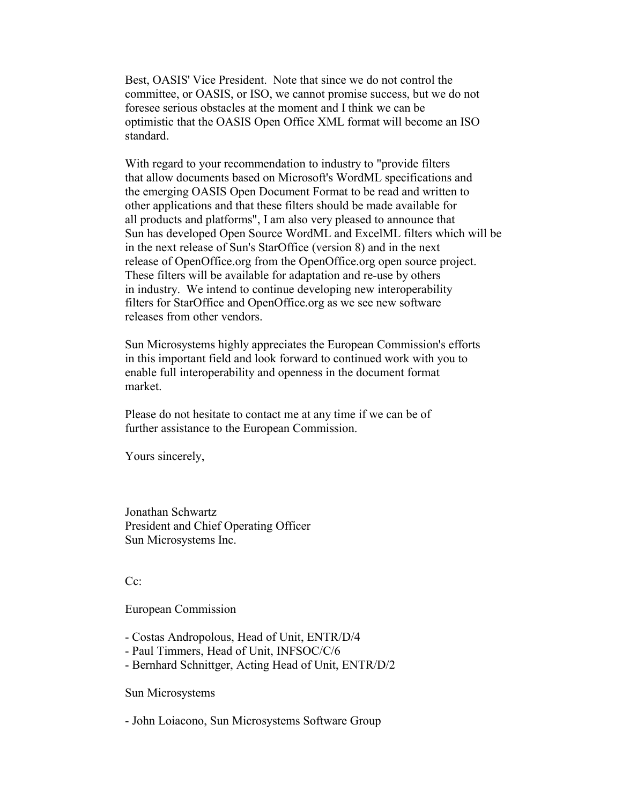Best, OASIS' Vice President. Note that since we do not control the committee, or OASIS, or ISO, we cannot promise success, but we do not foresee serious obstacles at the moment and I think we can be optimistic that the OASIS Open Office XML format will become an ISO standard.

 With regard to your recommendation to industry to "provide filters that allow documents based on Microsoft's WordML specifications and the emerging OASIS Open Document Format to be read and written to other applications and that these filters should be made available for all products and platforms", I am also very pleased to announce that Sun has developed Open Source WordML and ExcelML filters which will be in the next release of Sun's StarOffice (version 8) and in the next release of OpenOffice.org from the OpenOffice.org open source project. These filters will be available for adaptation and re-use by others in industry. We intend to continue developing new interoperability filters for StarOffice and OpenOffice.org as we see new software releases from other vendors.

 Sun Microsystems highly appreciates the European Commission's efforts in this important field and look forward to continued work with you to enable full interoperability and openness in the document format market.

 Please do not hesitate to contact me at any time if we can be of further assistance to the European Commission.

Yours sincerely,

 Jonathan Schwartz President and Chief Operating Officer Sun Microsystems Inc.

Cc:

European Commission

- Costas Andropolous, Head of Unit, ENTR/D/4

- Paul Timmers, Head of Unit, INFSOC/C/6
- Bernhard Schnittger, Acting Head of Unit, ENTR/D/2

Sun Microsystems

- John Loiacono, Sun Microsystems Software Group